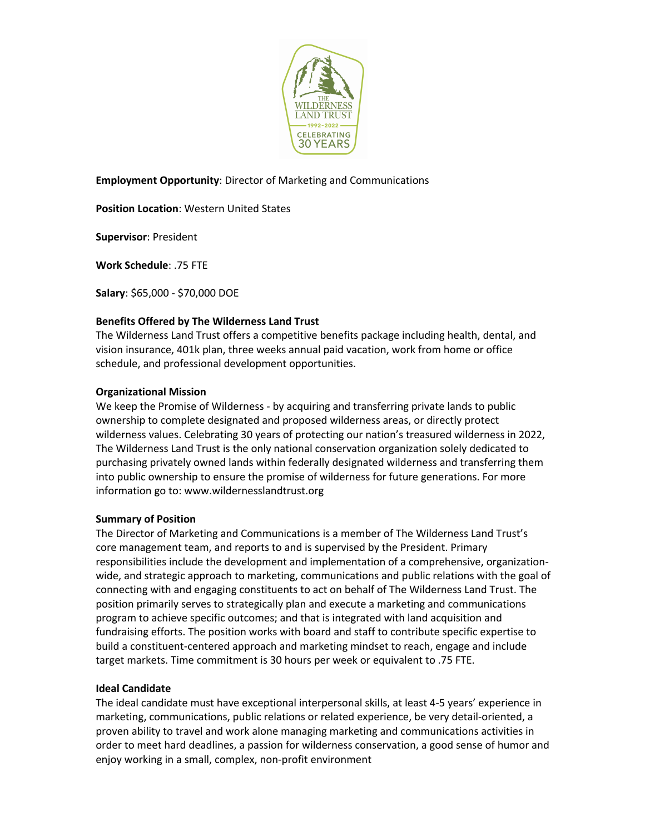

# **Employment Opportunity**: Director of Marketing and Communications

**Position Location**: Western United States

**Supervisor**: President

**Work Schedule**: .75 FTE

**Salary**: \$65,000 - \$70,000 DOE

## **Benefits Offered by The Wilderness Land Trust**

The Wilderness Land Trust offers a competitive benefits package including health, dental, and vision insurance, 401k plan, three weeks annual paid vacation, work from home or office schedule, and professional development opportunities.

### **Organizational Mission**

We keep the Promise of Wilderness - by acquiring and transferring private lands to public ownership to complete designated and proposed wilderness areas, or directly protect wilderness values. Celebrating 30 years of protecting our nation's treasured wilderness in 2022, The Wilderness Land Trust is the only national conservation organization solely dedicated to purchasing privately owned lands within federally designated wilderness and transferring them into public ownership to ensure the promise of wilderness for future generations. For more information go to: www.wildernesslandtrust.org

#### **Summary of Position**

The Director of Marketing and Communications is a member of The Wilderness Land Trust's core management team, and reports to and is supervised by the President. Primary responsibilities include the development and implementation of a comprehensive, organizationwide, and strategic approach to marketing, communications and public relations with the goal of connecting with and engaging constituents to act on behalf of The Wilderness Land Trust. The position primarily serves to strategically plan and execute a marketing and communications program to achieve specific outcomes; and that is integrated with land acquisition and fundraising efforts. The position works with board and staff to contribute specific expertise to build a constituent-centered approach and marketing mindset to reach, engage and include target markets. Time commitment is 30 hours per week or equivalent to .75 FTE.

#### **Ideal Candidate**

The ideal candidate must have exceptional interpersonal skills, at least 4-5 years' experience in marketing, communications, public relations or related experience, be very detail-oriented, a proven ability to travel and work alone managing marketing and communications activities in order to meet hard deadlines, a passion for wilderness conservation, a good sense of humor and enjoy working in a small, complex, non-profit environment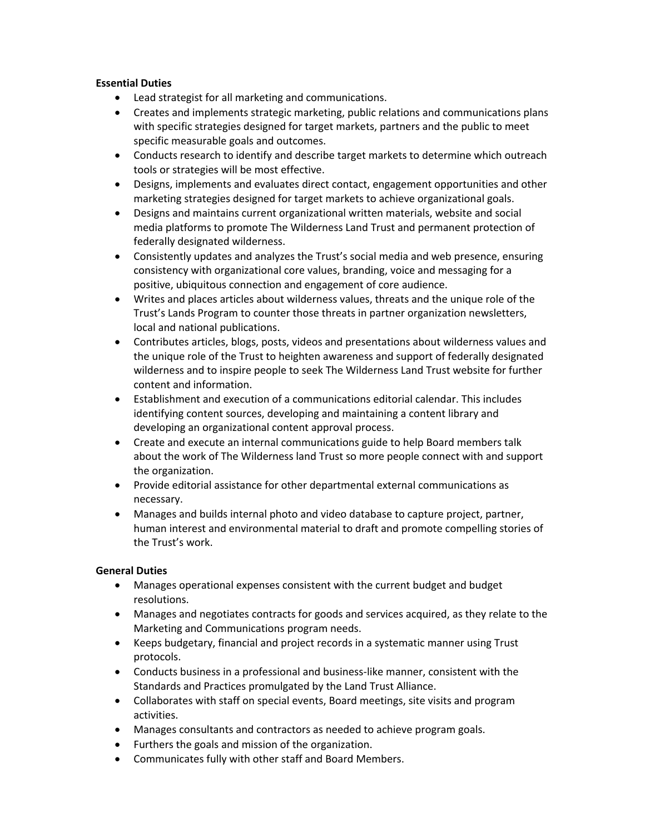## **Essential Duties**

- Lead strategist for all marketing and communications.
- Creates and implements strategic marketing, public relations and communications plans with specific strategies designed for target markets, partners and the public to meet specific measurable goals and outcomes.
- Conducts research to identify and describe target markets to determine which outreach tools or strategies will be most effective.
- Designs, implements and evaluates direct contact, engagement opportunities and other marketing strategies designed for target markets to achieve organizational goals.
- Designs and maintains current organizational written materials, website and social media platforms to promote The Wilderness Land Trust and permanent protection of federally designated wilderness.
- Consistently updates and analyzes the Trust's social media and web presence, ensuring consistency with organizational core values, branding, voice and messaging for a positive, ubiquitous connection and engagement of core audience.
- Writes and places articles about wilderness values, threats and the unique role of the Trust's Lands Program to counter those threats in partner organization newsletters, local and national publications.
- Contributes articles, blogs, posts, videos and presentations about wilderness values and the unique role of the Trust to heighten awareness and support of federally designated wilderness and to inspire people to seek The Wilderness Land Trust website for further content and information.
- Establishment and execution of a communications editorial calendar. This includes identifying content sources, developing and maintaining a content library and developing an organizational content approval process.
- Create and execute an internal communications guide to help Board members talk about the work of The Wilderness land Trust so more people connect with and support the organization.
- Provide editorial assistance for other departmental external communications as necessary.
- Manages and builds internal photo and video database to capture project, partner, human interest and environmental material to draft and promote compelling stories of the Trust's work.

# **General Duties**

- Manages operational expenses consistent with the current budget and budget resolutions.
- Manages and negotiates contracts for goods and services acquired, as they relate to the Marketing and Communications program needs.
- Keeps budgetary, financial and project records in a systematic manner using Trust protocols.
- Conducts business in a professional and business-like manner, consistent with the Standards and Practices promulgated by the Land Trust Alliance.
- Collaborates with staff on special events, Board meetings, site visits and program activities.
- Manages consultants and contractors as needed to achieve program goals.
- Furthers the goals and mission of the organization.
- Communicates fully with other staff and Board Members.